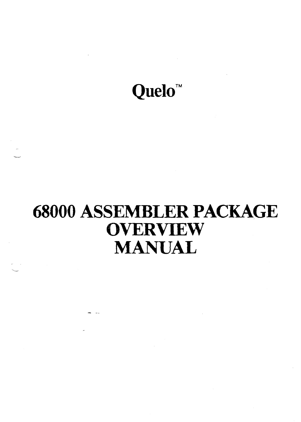

# **68000 ASSEMBLER PACKAGE OVERVIEW**  MANUAL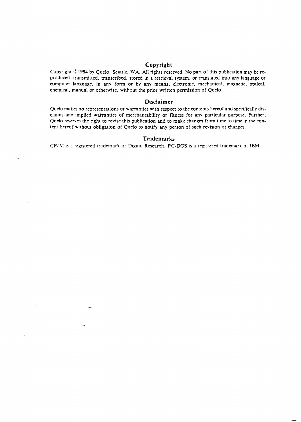# **Copyright**

Copyright ©1984 by Quelo, Seattle, WA. All rights reserved. No part of this publication may be reproduced, transmitted, transcribed, stored in a retrieval system, or translated into any language or computer language, in any form or by any means, electronic, mechanical. magnetic, optical. chemical, manual or otherwise. without the prior written permission of Quelo.

#### **Disclaimer**

Quelo makes no representations or warranties with respect to the contents hereof and specifically disclaims any implied warranties of merchantability or fitness for any particular purpose. Further, Quelo reserves the right to revise this publication and to make changes from time to time in the content hereof without obligation of Quelo to notify any person of such revision or changes.

#### **Trademarks**

CP/M is a registered trademark of Digital Research. PC-DOS is a registered trademark of IBM.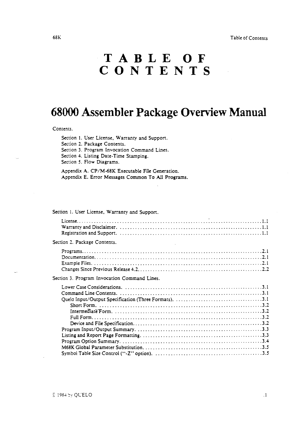Table of Contents

#### 68K

# **TABLE OF CONTENTS**

# **68000 Assembler Package Overview Manual**

#### Contents.

Section 1. User License, Warranty and Support. Section 2. Package Contents. Section 3. Program Invocation Command Lines. Section 4. Listing Date-Time Stamping. Section 5. Flow Diagrams.

Appendix A. CP/M-68K Executable File Generation. Appendix E. Error Messages Common To All Programs.

# Section 1. User License, Warranty and Support.

| Section 2. Package Contents.<br>and the company of the |  |
|--------------------------------------------------------|--|
|                                                        |  |
| Section 3. Program Invocation Command Lines.           |  |
|                                                        |  |
|                                                        |  |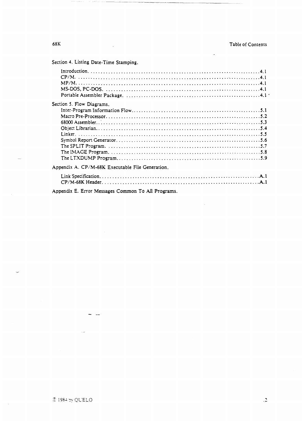Section 4. Listing Date-Time Stamping.

| Section 5. Flow Diagrams.                         |  |
|---------------------------------------------------|--|
|                                                   |  |
|                                                   |  |
|                                                   |  |
|                                                   |  |
|                                                   |  |
|                                                   |  |
|                                                   |  |
|                                                   |  |
|                                                   |  |
| Appendix A. CP/M-68K Executable File Generation.  |  |
|                                                   |  |
|                                                   |  |
| Annandis E. Estar Message Common To All Deographs |  |

Appendix E. Error Messages Common To All Programs.

 $\ddotsc$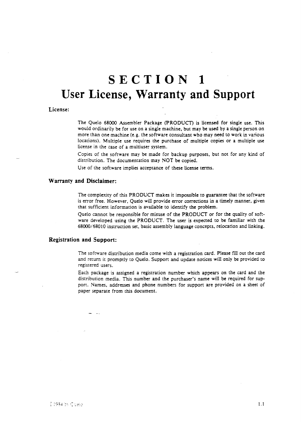# **SECTION 1 User License, Warranty and Support**

#### License:

The Quelo 68(0) Assembler Package (pRODUCT) is licensed for single use. This would ordinarily be for use on a single machine, but may be used by a single person on more than one machine (e.g. the software consultant who may need to work in various locations). Multiple use requires the purchase of multiple copies or a multiple use license in the case of a multiuser system.

Copies of the software may be made for backup purposes, but not for any kind of distribution. The documentation may NOT be copied.

Use of the software implies acceptance of these license terms.

#### Warranty and Disclaimer:

The complexity of this PRODUCT makes it impossible to guarantee that the software is error free. However, Quelo will provide error corrections in a timely manner, given that sufficient information is available to identify the problem.

Quelo cannot be responsible for misuse of the PRODUCT or for the quality of software developed using the PRODUCT. The user is expected to be familiar with the 68000/68010 instruction set, basic assembly language concepts, relocation and linking.

# Registration and Support:

The software distribution media come with a registration card. Please fill out the card and return it promptly to Quelo. Support and update notices will only be provided to registered users.

Each package is assigned a registration number which appears on the card and the distribution media. This number and the purchaser's name will be required for support. Names, addresses and phone numbers for support are provided on a sheet of paper separate from this document.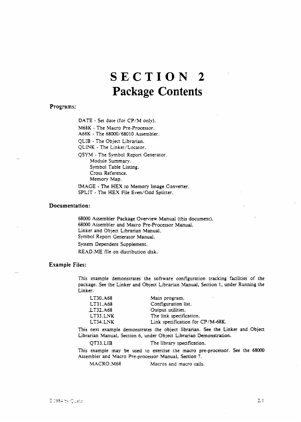# **SECTION 2 Package Contents**

#### Programs:

DATE - Set date (for CP/M only).

M68K - The Macro Pre-Processor.

A68K - The 68000/68010 Assembler.

QLIB - The Object Librarian.

QLINK - The Linker/Locator.

QSYM - The Symbol Report Generator. Module Summary. Symbol Table Listing. Cross Reference. Memory Map.

IMAGE - The HEX to Memory Image Converter. SPLIT - The HEX File Even/Odd Splitter.

### Documentation:

68000 Assembler Package Overview Manual (this document). 68000 Assembler and Macro Pre-Processor Manual. Linker and Object Librarian Manual. Symbol Report Generator Manual.

System Dependent Supplement.

READ. ME file on distribution disk.

### Example Files:

This example demonstrates the software configuration tracking facilities of the package. See the Linker and Object Librarian Manual, Section 1, under Running the Linker.

| LT30.A68 | Main program.                    |
|----------|----------------------------------|
| LT31.A68 | Configuration list.              |
| LT32.A68 | Output utilities.                |
| LT33.LNK | The link specification.          |
| LT34.LNK | Link specification for CP/M-68K. |

This next example demonstrates the object librarian. See the Linker and Object Librarian Manual, Section 6, under Object Librarian Demonstration.

QT33.LIB The library specification.

This example may be used to exercise the macro pre-processor. See the 68000 Assembler and Macro Pre-processor Manual, Section 7.

MACRO.M68 Macros and macro calls.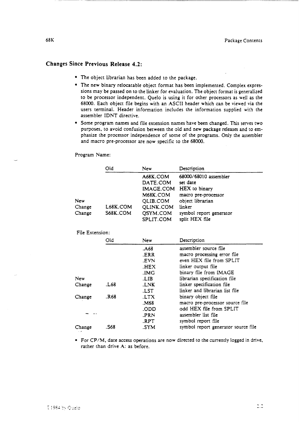# Changes Since Previous Release 4.2:

- The object librarian has been added to the package.
- The new binary relocatable object format has been implemented. Complex expressions may be passed on to the linker for evauuation. The object format is generalized to be processor independent. Quelo is using it for other processors as well as the 68000. Each object file begins with an ASCII header which can be viewed via the users terminal. Header information includes the information supplied with the assembler IDNT directive.
- Some program names and file extension names have been changed. This serves two purposes, to avoid confusion between the old and new package releases and to emphasize the processor independence of some of the programs. Only the assembler and macro pre-processor are now specific to the 68000.

Program Name:

|                         | Old                  | New                                                                                             | Description                                                                                                                                          |
|-------------------------|----------------------|-------------------------------------------------------------------------------------------------|------------------------------------------------------------------------------------------------------------------------------------------------------|
| New<br>Change<br>Change | L68K.COM<br>S68K.COM | A68K.COM<br>DATE.COM<br>IMAGE.COM<br>M68K.COM<br>QLIB.COM<br>QLINK.COM<br>QSYM.COM<br>SPLIT.COM | 68000/68010 assembler<br>set date<br>HEX to binary<br>macro pre-processor<br>object librarian<br>linker<br>symbol report generator<br>split HEX file |
| File Extension:         |                      |                                                                                                 |                                                                                                                                                      |
|                         | Old                  | New                                                                                             | Description                                                                                                                                          |
|                         |                      | .A68<br>.ERR<br>.EVN<br>.HEX                                                                    | assembler source file<br>macro processing error file<br>even HEX file from SPLIT<br>linker output file                                               |
|                         |                      | .IMG                                                                                            | binary file from IMAGE                                                                                                                               |
| New<br>Change           | L68.                 | LIB.<br>LNK.<br>.LST                                                                            | librarian specification file<br>linker specification file<br>linker and librarian list file                                                          |
| Change                  | .R68                 | .LTX<br>M68.                                                                                    | binary object file<br>macro pre-processor source file                                                                                                |
|                         |                      | .ODD<br>.PRN<br>.RPT                                                                            | odd HEX file from SPLIT<br>assembler list file<br>symbol report file                                                                                 |
| Change                  | .S68                 | .SYM                                                                                            | symbol report generator source file                                                                                                                  |

• For CP/M, date access operations are now directed to the currently logged in drive, rather than drive A: as before.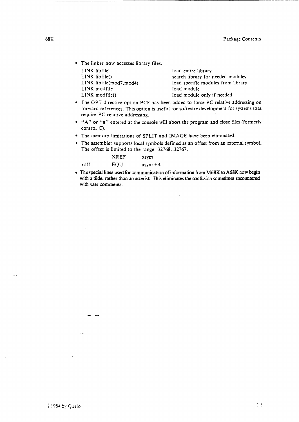• The linker now accesses library files. LINK libfile LINK libfile()

LINK libfile(mod7,mod4)

LINK modfile LINK modfile()

load entire library search library for needed modules load specific modules from library load module load module only if needed

- The OPT directive option PCF has been added to force PC relative addressing on forward references. This option is useful for software development for systems that require PC relative addressing.
- "A" or "a" entered at the console will abort the program and close files (formerly control C).
- The memory limitations of SPLIT and IMAGE have been eliminated.
- The assembler supports local symbols defined as an offset from an external symboL The offset is limited to the range -32768 .. 32767.

|      | <b>XREF</b> | xsym                    |
|------|-------------|-------------------------|
| xoff | EQU         | $x \cdot y \cdot m + 4$ |

• The special lines used for communication of information from M68K to A68K now begin with a tilde, rather than an asterisk. This eliminates the confusion sometimes encountered with user comments.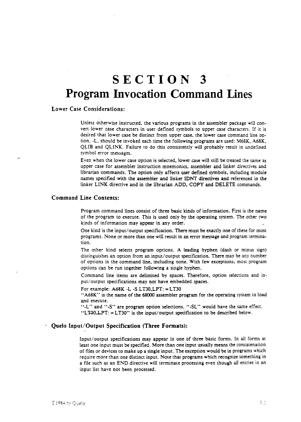# **SECTION 3 Program Invocation Command Lines**

# Lower Case Considerations:

Unless otherwise instructed, the various programs in the assembler package will convert lower case characters in user defined symbols to upper case characters. If it is desired that lower case be distinct from upper case. the lower case command line option. -L. should be invoked each time the following programs are used: M68K. A68K. QLIB and QLINK. Failure to do this consistently will probably result in undefined symbol error messages.

Even when the lower case option is selected, lower case will still be treated the same as upper case for assembler instruction mnemonics, assembler and linker directives and librarian commands. The option only affects user defined symbols. induding module names specified with the assembler and linker IDNT directives and referenced in the linker LINK directive and in the librarian ADD, COpy and DELETE commands.

#### Command Line Contents:

Program command lines consist of three basic kinds of information. First is the name of the program to execute. This is used only by the operating system. The other two kinds of information may appear in any order.

One kind is the input/output specification. There must be exactly one of these for most programs. None or more than one will result in an error message and program termination.

The other kind selects program options. A leading hyphen (dash or minus sign) distinguishes an option from an input/output specification. There may be any number of options in the command line, induding none. With few exceptions. most program options can be run together following a single hyphen.

Command line items are delimited by spaces. Therefore. option selections and input/ output specifications may not have embedded spaces.

For example:  $A68K - L - S L T30, LPT$ : = LT30

"A68K" is the name of the 68000 assembler program for the operating system to load and execute.

"-L" and "-S" are program option selections. "-SL" would have the same effect.

"LF30, LPT:  $=$  LT30" is the input/output specification to be described below.

# Quelo Input/Output Specification (Three Formats):

Input/output specifications may appear in one of three basic forms. In all forms at least one input must be specified. More than one input usually means the concatenation of files or devices to make up a single input. The exception would be in programs which require more than one distinct input. Note that programs which recognize something in a file such as an END directive will terminate processing even though all entries in an input list have not been processed.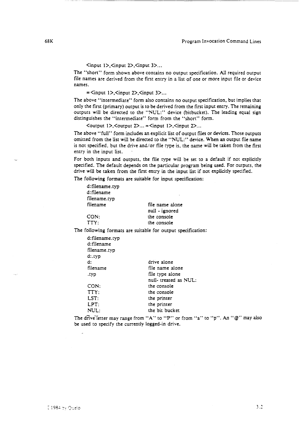$\langle$ input 1>, $\langle$ input 2>, $\langle$ input 3>...

The "short" form shown above contains no output specification. All required output file names are derived from the first entry in a list of one or more input file or device names.

 $=$   $\langle$ input 1>, $\langle$ input 2>, $\langle$ input 3>...

The above "intermediate" form also contains no output specification. but implies that only the first (primary) output is to be derived from the first input entry. The remaining outputs will be directed to the "NUL:" device (bitbucket). The leading equal sign distinguishes the "intermediate" form from the "short" form.

 $\leq$   $\leq$   $\leq$   $\leq$   $\leq$   $\leq$   $\leq$   $\leq$   $\leq$   $\leq$   $\leq$   $\leq$   $\leq$   $\leq$   $\leq$   $\leq$   $\leq$   $\leq$   $\leq$   $\leq$   $\leq$   $\leq$   $\leq$   $\leq$   $\leq$   $\leq$   $\leq$   $\leq$   $\leq$   $\leq$   $\leq$   $\leq$   $\leq$   $\leq$   $\leq$   $\leq$   $\leq$ 

The above "full" form includes an explicit list of output files or devices. Those outputs omitted from the list will be directed to the "NUL:" device. Waen an output file name is not specified, but the drive and/or file type is. the name will be taken from the first entry in the input list.

For both inputs and outputs. the file type will be set to a default if not explicitly specified. The default depends on the particular program being used. For outputs. the drive will be taken from the first entry in the input list if not explicitly specified.

The following formats are suitable for input specification:

| d:filename.typ |                 |
|----------------|-----------------|
| d:filename     |                 |
| filename.typ   |                 |
| filename       | file name alone |
|                | null - ignored  |
| CON:           | the console     |
| TTY:           | the console     |

The following formats are suitable for output specification:

| d:filename.typ<br>d:filename<br>filename.typ<br>d:.typ |                       |
|--------------------------------------------------------|-----------------------|
| d:                                                     | drive alone           |
| filename                                               | file name alone       |
| .typ                                                   | file type alone       |
|                                                        | null- treated as NUL: |
| CON:                                                   | the console           |
| TTY:                                                   | the console           |
| LST:                                                   | the printer           |
| LPT:                                                   | the printer           |
| NUL:                                                   | the bit bucket        |

The drive letter may range from "A" to "P" or from "a" to "p". An " $@$ " may also be used to specify the currently logged-in drive.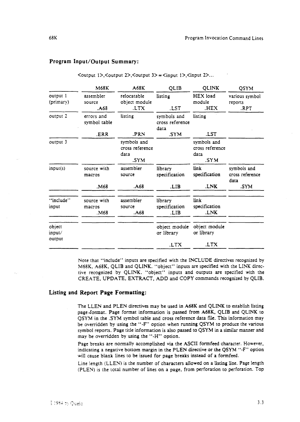#### Program Input/Output Summary:

|                            | M68K                          | A68K                                           | <b>QLIB</b>                            | <b>QLINK</b>                                   | <b>QSYM</b>                            |
|----------------------------|-------------------------------|------------------------------------------------|----------------------------------------|------------------------------------------------|----------------------------------------|
| output i<br>(primary)      | assembler<br>source<br>.A68   | relocatable<br>object module<br>LTX.           | listing<br>.LST                        | HEX load<br>module<br>.HEX                     | various symbol<br>reports<br>RPT.      |
| output 2                   | errors and<br>symbol table    | listing                                        | symbols and<br>cross reference<br>data | listing                                        |                                        |
|                            | .ERR                          | .PRN                                           | .SYM                                   | .LST                                           |                                        |
| output 3                   |                               | symbols and<br>cross reference<br>data<br>.SYM |                                        | symbols and<br>cross reference<br>data<br>.SYM |                                        |
| input(s)                   | source with<br>macros         | assembler<br>source                            | library<br>specification               | link<br>specification                          | symbols and<br>cross reference<br>data |
|                            | M68.                          | .A68                                           | LIB.                                   | .LNK                                           | .SYM                                   |
| "include"<br>input         | source with<br>macros<br>M68. | assembler<br>source<br>.A68                    | library<br>specification<br>LIB.       | link<br>specification<br>LNK.                  |                                        |
| object<br>input/<br>output |                               |                                                | object module<br>or library            | object module<br>or library                    |                                        |
|                            |                               |                                                | .LTX                                   | .LTX                                           |                                        |

 $\leq$   $\leq$   $\leq$   $\leq$   $\leq$   $\leq$   $\leq$   $\leq$   $\leq$   $\leq$   $\leq$   $\leq$   $\leq$   $\leq$   $\leq$   $\leq$   $\leq$   $\leq$   $\leq$   $\leq$   $\leq$   $\leq$   $\leq$   $\leq$   $\leq$   $\leq$   $\leq$   $\leq$   $\leq$   $\leq$   $\leq$   $\leq$   $\leq$   $\leq$   $\leq$   $\leq$   $\leq$ 

Note that "include" inputs are specified with the INCLUDE directives recognized by M68K. A68K. QLIB and QLINK. "object" inputs are specified with the LINK directive recognized by QUNK. "objecr" inputs and outputs are specified with the CREATE, UPDATE. EXTRACT. ADD and COpy commands recognized by QLIB.

#### Listing and Report **Page** Formatting:

The LLEN and PLEN directives may be used in A68K and QUNK to establish listing page-format. Page format information is passed from A68K, QLIB and QLINK to QSYM in the .SYM symbol table and cross reference data file. This information may be overridden by using the "-F" op:ion when running QSYM to produce the various symbol reports. Page title information is also passed to QSYM in a similar manner and may be overridden by using the "-H" option.

Page breaks are normally accomplished via the ASCII formfeed character. However. indicating a negative bottom margin in the PLEN directive or the QSYM "-F" option will cause blank lines to be issued for page breaks instead of a formfeed.

Line length (LLEN) is the number of characters allowed on a listing line. Page length (PlEN) is the total number of lines on a page, from perforation to perforation. Top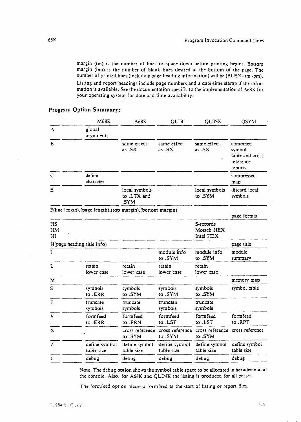margin (tm) is the number of lines to space down before printing begins. Bottom margin (bm) is the number of blank lines desired at the bottom of the page. The number of printed lines (including page heading information) will be (pLEN - tm -bm). Listing and report headings include page numbers and a date-time stamp if the infor-

mation is available. See the documentation specific to the implementation of A68K for your operating system for date and time availability.

|                       | M68K                                                         | A68K                                 | QLIB                        | <b>QLINK</b>                                | QSYM                                                          |
|-----------------------|--------------------------------------------------------------|--------------------------------------|-----------------------------|---------------------------------------------|---------------------------------------------------------------|
| $\mathbf{A}$          | global<br>arguments                                          |                                      |                             |                                             |                                                               |
| в                     |                                                              | same effect<br>as $-SX$              | same effect<br>as $-SX$     | same effect<br>as -SX                       | combined<br>symbol<br>table and cross<br>reference<br>reports |
| $\mathsf{C}$          | define<br>character                                          |                                      |                             |                                             | compressed<br>map                                             |
| Ε                     |                                                              | local symbols<br>to .LTX and<br>.SYM |                             | local symbols<br>to .SYM                    | discard local<br>symbols                                      |
|                       | F(line length), (page length), (top margin), (bottom margin) |                                      |                             |                                             | page format                                                   |
| <b>HS</b><br>HM<br>HI |                                                              |                                      |                             | S-records<br><b>Mostek HEX</b><br>Intel HEX |                                                               |
|                       | H(page heading title info)                                   |                                      |                             |                                             | page title                                                    |
| T                     |                                                              |                                      | module info<br>to.SYM       | module info<br>to .SYM                      | module<br>summary                                             |
| L                     | retain<br>lower case                                         | retain<br>lower case                 | retain<br>lower case        | retain<br>lower case                        |                                                               |
| M                     |                                                              |                                      |                             |                                             | memory map                                                    |
| S                     | symbols<br>to .ERR                                           | symbols<br>to .SYM                   | symbols<br>to .SYM          | symbols<br>to .SYM                          | symbol table                                                  |
| $\overline{T}$        | truncate<br>symbols                                          | truncate<br>symbols                  | truncate<br>symbols         | truncate<br>symbols                         |                                                               |
| V                     | formfeed<br>to .ERR                                          | formfeed<br>to .PRN                  | formfeed<br>to .LST         | formfeed<br>to .LST                         | formfeed<br>to .RPT                                           |
| X                     |                                                              | cross reference<br>to .SYM           | cross reference<br>to .SYM  | to .SYM                                     | cross reference cross reference                               |
| $\overline{z}$        | define symbol<br>table size                                  | define symbol<br>table size          | define symbol<br>table size | define symbol<br>table size                 | define symbol<br>table size                                   |
| 1                     | debug                                                        | debug                                | debug                       | debug                                       | debug                                                         |
|                       |                                                              |                                      |                             |                                             |                                                               |

# Program Option Summary:

Note: The debug option shows the symbol table space to be allocated in hexadecimal at the console. Also. for A68K and QLlNK the listing is produced for all passes.

The formfeed option places a formfeed at the start of listing or report files.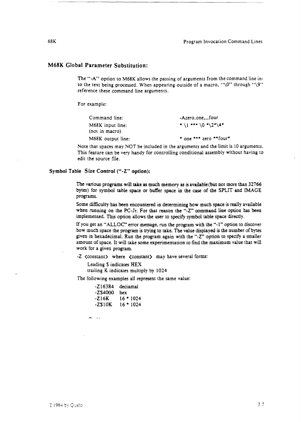# M68K Global Parameter Substitution:

The "-A" option to M68K allows the passing of arguments from the command line into the text being processed. When appearing outside of a macro, "\0" through "\9" reference these command line arguments.

For example:

| Command line:     | -Azero.onefour               |
|-------------------|------------------------------|
| M68K input line:  | $*(1***\0$ = 2"\4"           |
| (not in macro)    |                              |
| M68K output line: | $*$ one $***$ zero $**$ four |

Note that spaces may NOT be included in the arguments and the limit is 10 arguments. This feature can be very handy for controlling conditional assembly without having to edit the source file.

#### Symbol Table Size Control ("-Z" option):

The various programs will take as much memory as is available (but not more than 32766 bytes) for symbol table space or buffer space in the case of the SPLIT and IMAGE programs.

Some difficulty has been encountered in determining how much space is really available when running on the PC-Jr. For that reason the "-Z" command line option has been implemented. This option allows the user to specify symbol table space directly.

If you get an "ALLOC" error message, run the program with the "-1" option to discover how much space the program is trying to take. The value displayed is the number of bytes given in hexadecimal. Run the program again with the "·Z" option to specify a smaller amount of space. It will take some experimentation to find the maximum value that will work for a given program.

-Z (constant) where <constant) may have several forms:

Leading S indicates HEX trailing K indicates multiply by 1024

The following examples all represent the same value:

| -Z16384 | deciamal    |
|---------|-------------|
| -ZS4000 | hex         |
| -Z16K   | $16 * 1024$ |
| -ZS10K  | $16 * 1024$ |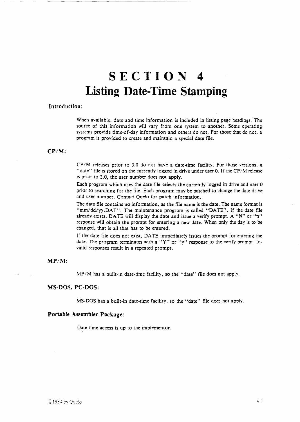# **SECTION 4 Listing Date-Time Stamping**

#### Introduction:

When available. date and time information is included in listing page headings. The source of this information will vary from one system to another. Some operating systems provide time-of-day information and ochers do not. For those that do not, a program is provided to create and maintain a special date file.

# CP/M:

CP/M releases prior to 3.0 do not have a date-time facility. For those versions, a "date" file is stored on the currently logged in drive under user 0. If the CP/M release is prior to 2.0, the user number does not apply.

Each program which uses the date file selects the currently logged in drive and user 0 prior to searching for the file. Each program may be patched to change the date drive and user number. Contact Quelo for patch information\_

The date file contains no information, as the file name is the date. The name format is "mm/dd/yy.DAT". The maintenance program is called "DATE". If the date file already exists, DATE will display the date and issue a verify prompt. A "N" or "n" response will obtain the prompt for entering a new date. When only the day is to be changed, that is all that has to be entered.

If the date file does not exist, DATE immediately issues the prompt for entering the date. The program terminates with a "Y" or "y" response to the verify prompt. Invalid responses result in a repeated prompt.

# *MP/M:*

MP/M has a built-in date-time facility, so the "date" file does not apply.

#### MS-DOS. PC-DOS:

MS-DOS has a built-in date-time facility. so the "date" file does not apply.

#### Portable Assembler Package:

Date-time access is up to the implementor.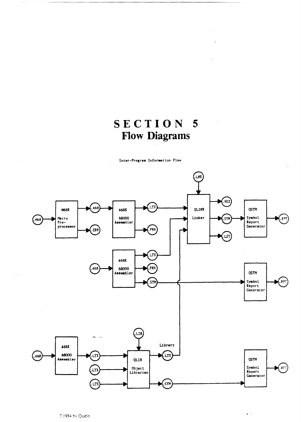# SECTION 5 **Flow Diagrams**

Inter-Program Information Flow



 $\sim$   $\sim$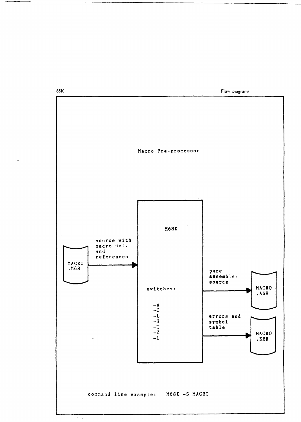68K

Flow Diagrams

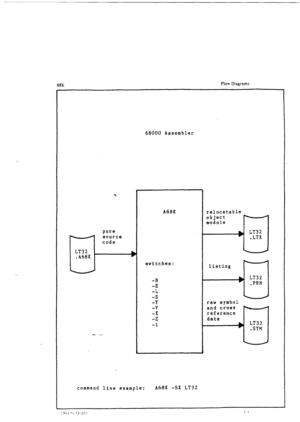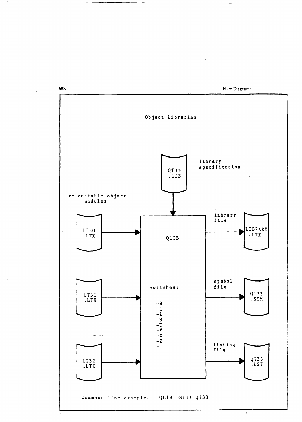

 $\ddot{\phantom{a}}$ 

 $\mathbb{Z}^2$ 

 $\epsilon$  .  $\epsilon$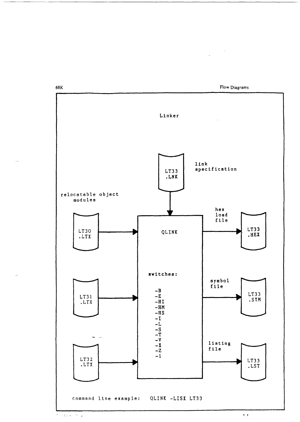Linker  $\ln k$ specification LT33 .LNK relocatable object modules hex  $load$ file LT33 LT30 QLINK .HEX .LTX switches: symbol file  $-\mathbf{B}$ LT33  $-E$ LT31 .SYM  $-HI$ .LTX  $-HM$  $-{\rm H\,S}$  $-1$ <br>  $-1$ <br>  $-5$ <br>  $-7$ <br>  $-7$ <br>  $-7$ <br>  $-7$ <br>  $-1$  $\sim$ listing file LT32 LT33<br>.LST  $.LTX$ command line example: QLINK -LISX LT33

68K

Flow Diagrams

 $\zeta\cdot\zeta$ 

 $\label{eq:2.1} \frac{1}{2} \sum_{i=1}^n \frac{1}{2} \sum_{j=1}^n \frac{1}{2} \sum_{j=1}^n \frac{1}{2} \sum_{j=1}^n \frac{1}{2} \sum_{j=1}^n \frac{1}{2} \sum_{j=1}^n \frac{1}{2} \sum_{j=1}^n \frac{1}{2} \sum_{j=1}^n \frac{1}{2} \sum_{j=1}^n \frac{1}{2} \sum_{j=1}^n \frac{1}{2} \sum_{j=1}^n \frac{1}{2} \sum_{j=1}^n \frac{1}{2} \sum_{j=1}^n \frac{$ 

**THORES IN 20**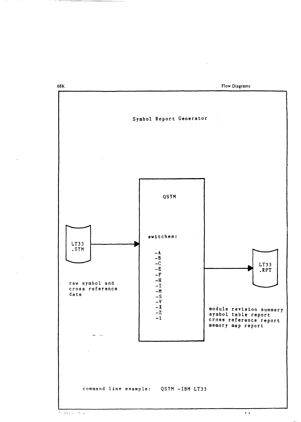$\sim$ 

Flow Diagrams

 $\epsilon/\kappa$ 



68K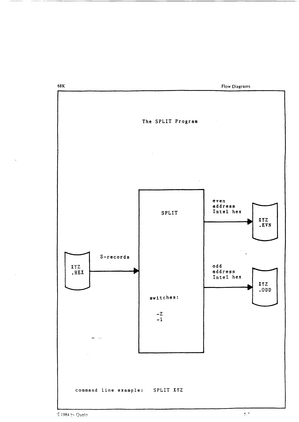

€ 1984 by Quelo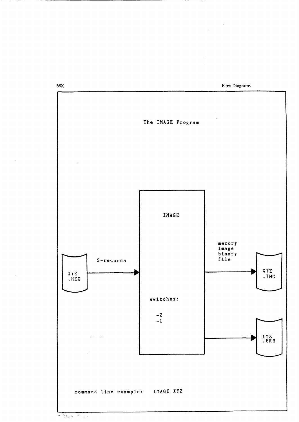Flow Diagrams

 $\label{eq:2.1} \frac{1}{\sqrt{2\pi}}\int_{0}^{\infty}\frac{dx}{\sqrt{2\pi}}\,dx$ 

 $\bar{\beta}$ 



 $7.13877 - 9.377$ 

68K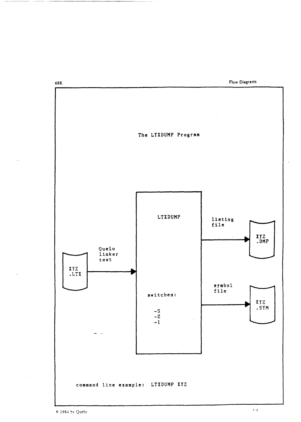Flow Diagrams



 $$1984$  by Quelo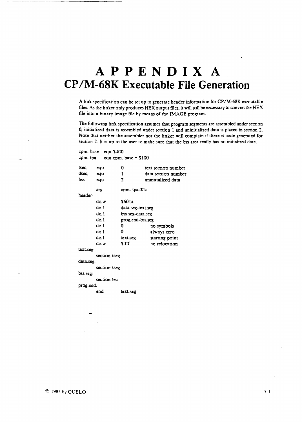# **APPENDIX A CP** *IM-68K* **Executable File Generation**

A link specification can be set up to generate header information for CP/M-68K executable files. As the linker only produces HEX output files, it will still be necessary to convert the HEX file into a binary image file by mesns of the IMAGE program.

The following link specification assumes that program segments are assembled under section 0, initialized data is assembled under section 1 and uninitialized data is placed in section 2. Note that neither the assembler nor the linker will complain if there is code generated for section 2. It is up to the user to make sure that the bss ares really has no initialized data.

| cpm. base equ \$400 |                                    |                   |                     |  |  |  |  |
|---------------------|------------------------------------|-------------------|---------------------|--|--|--|--|
|                     | cpm. tpa $equ$ cpm. base $+$ \$100 |                   |                     |  |  |  |  |
|                     |                                    |                   |                     |  |  |  |  |
| tseq                | equ                                | 0                 | text section number |  |  |  |  |
| dseq                | equ                                | ı                 | data section number |  |  |  |  |
| bss                 | equ                                | $\overline{2}$    | uninitialized data  |  |  |  |  |
|                     | org                                | cpm. tpa-S1c      |                     |  |  |  |  |
| header:             |                                    |                   |                     |  |  |  |  |
|                     | dc.w                               | \$601a            |                     |  |  |  |  |
|                     | dc. I                              | data.seg-text.seg |                     |  |  |  |  |
|                     | dc. 1                              | bss.seg-data.seg  |                     |  |  |  |  |
|                     | dc.1                               | prog.end-bss.seg  |                     |  |  |  |  |
|                     | dc.1                               | 0                 | no symbols          |  |  |  |  |
|                     | dc.1                               | 0                 | always zero         |  |  |  |  |
|                     | dc.1                               | <b>lext.seg</b>   | starting point      |  |  |  |  |
|                     | dc.w.                              | <b>SHTT</b>       | no relocation       |  |  |  |  |
| text.seg:           |                                    |                   |                     |  |  |  |  |
|                     | section tseg                       |                   |                     |  |  |  |  |
| data.seg:           |                                    |                   |                     |  |  |  |  |
|                     | section tseg                       |                   |                     |  |  |  |  |
| bss.seg:            |                                    |                   |                     |  |  |  |  |
|                     | section bss                        |                   |                     |  |  |  |  |
| prog.end:           |                                    |                   |                     |  |  |  |  |
|                     | end                                | lexl.seg          |                     |  |  |  |  |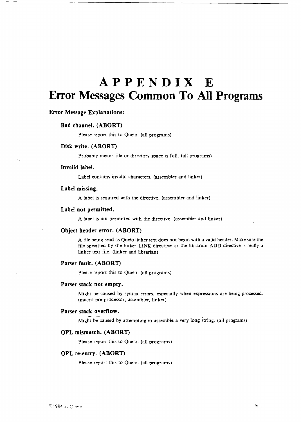# **APPENDIX E Error Messages Common To All Programs**

### Error Message Explanations:

#### Bad channel. (ABORT)

Please report this to Quelo. (all programs)

#### Disk write. (ABORT)

Probably means file or directory space is full. (all programs)

#### Invalid label.

Label contains invalid characters. (assembler and linker)

#### Label missing.

A label is required with the directive. (assembler and linker)

#### Label not permitted.

A label is not permitted with the directive. (assembler and linker)

#### Object header error. (ABORT)

A file being read as Quelo linker text does not begin with a valid header. Make sure the file specified by the linker LINK directive or the librarian ADD directive is really a linker text file. (linker and librarian)

# Parser fault. (ABORT)

Please report this to Quelo. (all programs)

#### Parser stack not empty.

Might be caused by syntax errors. especially when expressions are being processed. (macro pre-processor. assembler, linker)

#### Parser stack overflow.

Might be caused by attempting to assemble a very long string. (all programs)

#### QPL mismatch. (ABORT)

Please report this to Quelo. (all programs)

#### QPL re-entry. (ABORT)

Please report this to Quelo. (all programs)